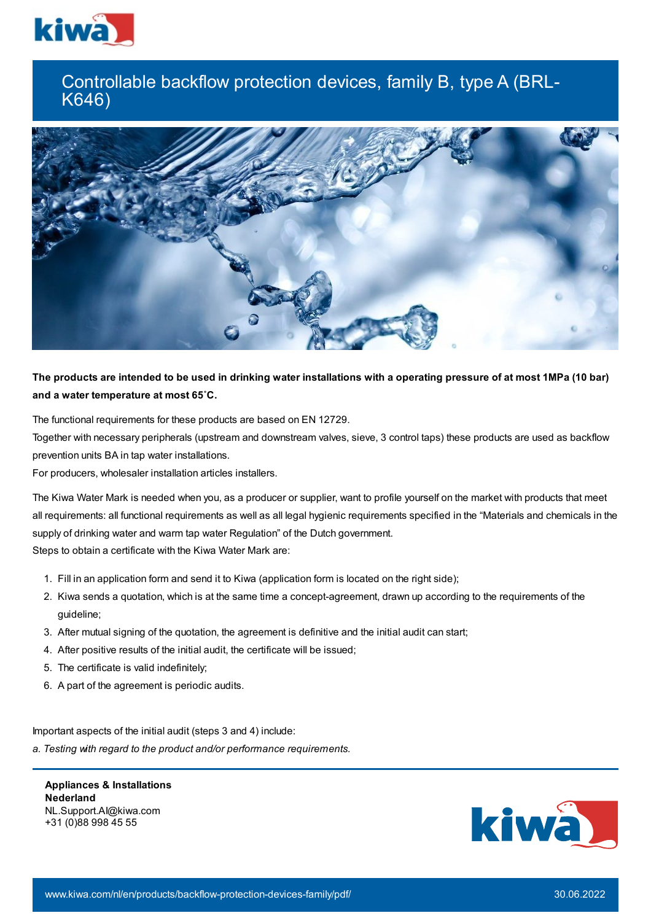

## Controllable backflow protection devices, family B, type A (BRL-K646)



## The products are intended to be used in drinking water installations with a operating pressure of at most 1MPa (10 bar) **and a water temperature at most 65˚C.**

The functional requirements for these products are based on EN 12729.

Together with necessary peripherals (upstream and downstream valves, sieve, 3 control taps) these products are used as backflow prevention units BA in tap water installations.

For producers, wholesaler installation articles installers.

The Kiwa Water Mark is needed when you, as a producer or supplier, want to profile yourself on the market with products that meet all requirements: all functional requirements as well as all legal hygienic requirements specified in the "Materials and chemicals in the supply of drinking water and warm tap water Regulation" of the Dutch government.

Steps to obtain a certificate with the Kiwa Water Mark are:

- 1. Fill in an application form and send it to Kiwa (application form is located on the right side);
- 2. Kiwa sends a quotation, which is at the same time a concept-agreement, drawn up according to the requirements of the guideline;
- 3. After mutual signing of the quotation, the agreement is definitive and the initial audit can start;
- 4. After positive results of the initial audit, the certificate will be issued;
- 5. The certificate is valid indefinitely;
- 6. A part of the agreement is periodic audits.

Important aspects of the initial audit (steps 3 and 4) include:

*a. Testing with regard to the product and/or performance requirements.*

**Appliances & Installations Nederland** NL.Support.AI@kiwa.com +31 (0)88 998 45 55